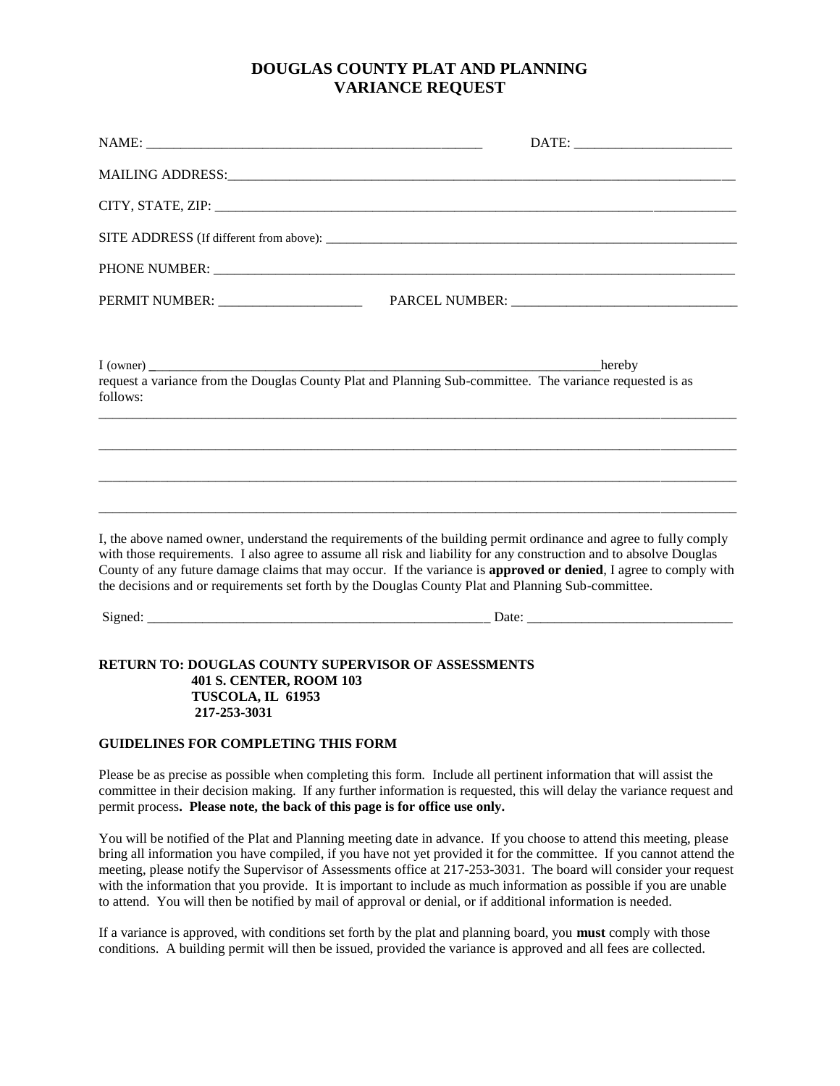## **DOUGLAS COUNTY PLAT AND PLANNING VARIANCE REQUEST**

| follows:                                                                                                                   |                                                                                                                                                                                                                                                                                                                                                                                                                                                                          |
|----------------------------------------------------------------------------------------------------------------------------|--------------------------------------------------------------------------------------------------------------------------------------------------------------------------------------------------------------------------------------------------------------------------------------------------------------------------------------------------------------------------------------------------------------------------------------------------------------------------|
|                                                                                                                            |                                                                                                                                                                                                                                                                                                                                                                                                                                                                          |
|                                                                                                                            |                                                                                                                                                                                                                                                                                                                                                                                                                                                                          |
|                                                                                                                            | I, the above named owner, understand the requirements of the building permit ordinance and agree to fully comply<br>with those requirements. I also agree to assume all risk and liability for any construction and to absolve Douglas<br>County of any future damage claims that may occur. If the variance is <b>approved or denied</b> , I agree to comply with<br>the decisions and or requirements set forth by the Douglas County Plat and Planning Sub-committee. |
|                                                                                                                            |                                                                                                                                                                                                                                                                                                                                                                                                                                                                          |
| <b>RETURN TO: DOUGLAS COUNTY SUPERVISOR OF ASSESSMENTS</b><br>401 S. CENTER, ROOM 103<br>TUSCOLA, IL 61953<br>217-253-3031 |                                                                                                                                                                                                                                                                                                                                                                                                                                                                          |

## **GUIDELINES FOR COMPLETING THIS FORM**

Please be as precise as possible when completing this form. Include all pertinent information that will assist the committee in their decision making. If any further information is requested, this will delay the variance request and permit process**. Please note, the back of this page is for office use only.**

You will be notified of the Plat and Planning meeting date in advance. If you choose to attend this meeting, please bring all information you have compiled, if you have not yet provided it for the committee. If you cannot attend the meeting, please notify the Supervisor of Assessments office at 217-253-3031. The board will consider your request with the information that you provide. It is important to include as much information as possible if you are unable to attend. You will then be notified by mail of approval or denial, or if additional information is needed.

If a variance is approved, with conditions set forth by the plat and planning board, you **must** comply with those conditions. A building permit will then be issued, provided the variance is approved and all fees are collected.